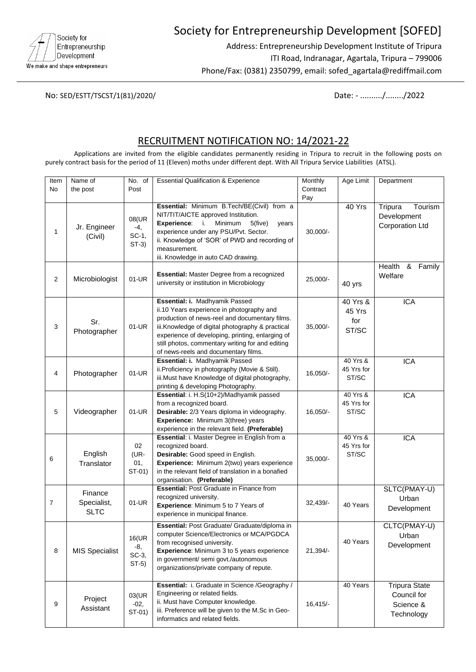

# Society for Entrepreneurship Development [SOFED]

Address: Entrepreneurship Development Institute of Tripura ITI Road, Indranagar, Agartala, Tripura – 799006 Phone/Fax: (0381) 2350799, email: sofed\_agartala@rediffmail.com

No: SED/ESTT/TSCST/1(81)/2020/ Date: - ........../......../2022

## RECRUITMENT NOTIFICATION NO: 14/2021-22

Applications are invited from the eligible candidates permanently residing in Tripura to recruit in the following posts on purely contract basis for the period of 11 (Eleven) moths under different dept. With All Tripura Service Liabilities (ATSL).

| Item<br><b>No</b> | Name of<br>the post                   | No. of<br>Post                   | <b>Essential Qualification &amp; Experience</b>                                                                                                                                                                                                                                                                                   | Monthly<br>Contract<br>Pay | Age Limit                            | Department                                                     |
|-------------------|---------------------------------------|----------------------------------|-----------------------------------------------------------------------------------------------------------------------------------------------------------------------------------------------------------------------------------------------------------------------------------------------------------------------------------|----------------------------|--------------------------------------|----------------------------------------------------------------|
| 1                 | Jr. Engineer<br>(Civil)               | 08(UR<br>-4,<br>SC-1,<br>$ST-3)$ | Essential: Minimum B.Tech/BE(Civil) from a<br>NIT/TIT/AICTE approved Institution.<br>Experience: i.<br>Minimum<br>$5$ (five)<br>years<br>experience under any PSU/Pvt. Sector.<br>ii. Knowledge of 'SOR' of PWD and recording of<br>measurement.<br>iii. Knowledge in auto CAD drawing.                                           | $30,000/-$                 | 40 Yrs                               | Tripura<br>Tourism<br>Development<br><b>Corporation Ltd</b>    |
| $\overline{2}$    | Microbiologist                        | 01-UR                            | Essential: Master Degree from a recognized<br>university or institution in Microbiology                                                                                                                                                                                                                                           | 25,000/-                   | 40 yrs                               | Health<br>&<br>Family<br>Welfare                               |
| 3                 | Sr.<br>Photographer                   | 01-UR                            | Essential: i. Madhyamik Passed<br>ii.10 Years experience in photography and<br>production of news-reel and documentary films.<br>iii.Knowledge of digital photography & practical<br>experience of developing, printing, enlarging of<br>still photos, commentary writing for and editing<br>of news-reels and documentary films. | $35,000/-$                 | $40$ Yrs &<br>45 Yrs<br>for<br>ST/SC | <b>ICA</b>                                                     |
| 4                 | Photographer                          | 01-UR                            | Essential: i. Madhyamik Passed<br>ii. Proficiency in photography (Movie & Still).<br>iii.Must have Knowledge of digital photography,<br>printing & developing Photography.                                                                                                                                                        | $16,050/-$                 | 40 Yrs &<br>45 Yrs for<br>ST/SC      | <b>ICA</b>                                                     |
| 5                 | Videographer                          | 01-UR                            | Essential: i. H.S(10+2)/Madhyamik passed<br>from a recognized board.<br>Desirable: 2/3 Years diploma in videography.<br>Experience: Minimum 3(three) years<br>experience in the relevant field. (Preferable)                                                                                                                      | $16,050/-$                 | 40 Yrs &<br>45 Yrs for<br>ST/SC      | <b>ICA</b>                                                     |
| 6                 | English<br>Translator                 | 02<br>(UR-<br>01,<br>ST-01)      | Essential: i. Master Degree in English from a<br>recognized board.<br>Desirable: Good speed in English.<br>Experience: Minimum 2(two) years experience<br>in the relevant field of translation in a bonafied<br>organisation. (Preferable)                                                                                        | 35,000/-                   | 40 Yrs &<br>45 Yrs for<br>ST/SC      | <b>ICA</b>                                                     |
| 7                 | Finance<br>Specialist,<br><b>SLTC</b> | 01-UR                            | <b>Essential: Post Graduate in Finance from</b><br>recognized university.<br>Experience: Minimum 5 to 7 Years of<br>experience in municipal finance.                                                                                                                                                                              | $32,439/-$                 | 40 Years                             | SLTC(PMAY-U)<br>Urban<br>Development                           |
| 8                 | <b>MIS Specialist</b>                 | 16(UR<br>-8,<br>SC-3,<br>$ST-5)$ | Essential: Post Graduate/ Graduate/diploma in<br>computer Science/Electronics or MCA/PGDCA<br>from recognised university.<br>Experience: Minimum 3 to 5 years experience<br>in government/ semi govt./autonomous<br>organizations/private company of repute.                                                                      | 21,394/-                   | 40 Years                             | CLTC(PMAY-U)<br>Urban<br>Development                           |
| 9                 | Project<br>Assistant                  | 03(UR<br>$-02,$<br>ST-01)        | Essential: i. Graduate in Science /Geography /<br>Engineering or related fields.<br>ii. Must have Computer knowledge.<br>iii. Preference will be given to the M.Sc in Geo-<br>informatics and related fields.                                                                                                                     | $16,415/-$                 | 40 Years                             | <b>Tripura State</b><br>Council for<br>Science &<br>Technology |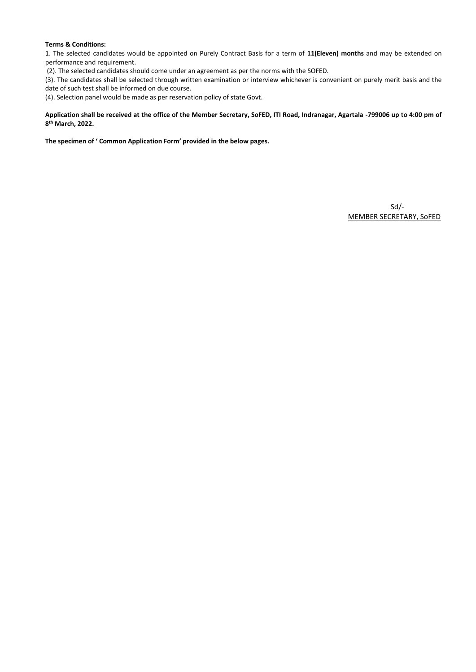#### **Terms & Conditions:**

1. The selected candidates would be appointed on Purely Contract Basis for a term of **11(Eleven) months** and may be extended on performance and requirement.

(2). The selected candidates should come under an agreement as per the norms with the SOFED.

(3). The candidates shall be selected through written examination or interview whichever is convenient on purely merit basis and the date of such test shall be informed on due course.

(4). Selection panel would be made as per reservation policy of state Govt.

#### **Application shall be received at the office of the Member Secretary, SoFED, ITI Road, Indranagar, Agartala -799006 up to 4:00 pm of 8 th March, 2022.**

**The specimen of ' Common Application Form' provided in the below pages.**

Sd/- MEMBER SECRETARY, SoFED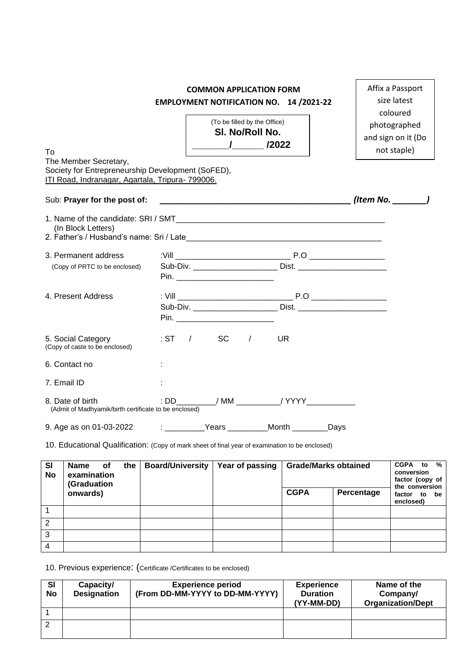## **COMMON APPLICATION FORM EMPLOYMENT NOTIFICATION NO. 14 /2021-22**

Affix a Passport size latest coloured

| To                                                                                                                             | (To be filled by the Office)<br>SI. No/Roll No. | $\mathcal{L}$ | /2022                                       | coloured<br>photographed<br>and sign on it (Do<br>not staple)                    |  |
|--------------------------------------------------------------------------------------------------------------------------------|-------------------------------------------------|---------------|---------------------------------------------|----------------------------------------------------------------------------------|--|
| The Member Secretary,<br>Society for Entrepreneurship Development (SoFED),<br>ITI Road, Indranagar, Agartala, Tripura- 799006. |                                                 |               |                                             |                                                                                  |  |
| Sub: Prayer for the post of:                                                                                                   |                                                 |               |                                             | $($ ltem No. $)$                                                                 |  |
| (In Block Letters)                                                                                                             |                                                 |               |                                             |                                                                                  |  |
| 3. Permanent address                                                                                                           |                                                 |               |                                             |                                                                                  |  |
| (Copy of PRTC to be enclosed)                                                                                                  |                                                 |               |                                             | Sub-Div. _______________________________ Dist. _________________________________ |  |
|                                                                                                                                |                                                 |               |                                             |                                                                                  |  |
| 4. Present Address                                                                                                             |                                                 |               |                                             |                                                                                  |  |
|                                                                                                                                |                                                 |               |                                             |                                                                                  |  |
|                                                                                                                                |                                                 |               |                                             |                                                                                  |  |
| 5. Social Category<br>(Copy of caste to be enclosed)                                                                           | :ST / SC /                                      |               | <b>UR</b>                                   |                                                                                  |  |
| 6. Contact no                                                                                                                  |                                                 |               |                                             |                                                                                  |  |
| 7. Email ID                                                                                                                    |                                                 |               |                                             |                                                                                  |  |
| 8. Date of birth<br>(Admit of Madhyamik/birth certificate to be enclosed)                                                      |                                                 |               | : DD__________/ MM ___________/ YYYY_____   |                                                                                  |  |
| 9. Age as on 01-03-2022                                                                                                        |                                                 |               | ____________Years ___________Month ________ | Days                                                                             |  |

10. Educational Qualification: (Copy of mark sheet of final year of examination to be enclosed)

| <b>SI</b><br>No | Name<br>оf<br>examination<br>(Graduation | the | <b>Board/University</b> | Year of passing | <b>Grade/Marks obtained</b> |            | <b>CGPA</b><br>%<br>to<br>conversion<br>factor (copy of<br>the conversion |  |
|-----------------|------------------------------------------|-----|-------------------------|-----------------|-----------------------------|------------|---------------------------------------------------------------------------|--|
|                 | onwards)                                 |     |                         |                 | <b>CGPA</b>                 | Percentage | factor<br>to<br>be<br>enclosed)                                           |  |
|                 |                                          |     |                         |                 |                             |            |                                                                           |  |
| 2               |                                          |     |                         |                 |                             |            |                                                                           |  |
| 3               |                                          |     |                         |                 |                             |            |                                                                           |  |
|                 |                                          |     |                         |                 |                             |            |                                                                           |  |

10. Previous experience: (Certificate /Certificates to be enclosed)

| <b>SI</b><br><b>No</b> | Capacity/<br><b>Designation</b> | <b>Experience period</b><br>(From DD-MM-YYYY to DD-MM-YYYY) | <b>Experience</b><br><b>Duration</b><br>(YY-MM-DD) | Name of the<br>Company/<br><b>Organization/Dept</b> |
|------------------------|---------------------------------|-------------------------------------------------------------|----------------------------------------------------|-----------------------------------------------------|
|                        |                                 |                                                             |                                                    |                                                     |
|                        |                                 |                                                             |                                                    |                                                     |